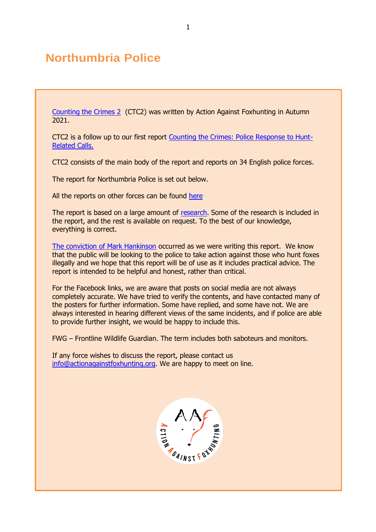# **Northumbria Police**

[Counting the Crimes 2](https://www.actionagainstfoxhunting.org/counting-the-crimes2-the-police-response/) (CTC2) was written by Action Against Foxhunting in Autumn 2021.

CTC2 is a follow up to our first report [Counting the Crimes: Police Response to Hunt-](https://www.actionagainstfoxhunting.org/counting-the-crimes/)[Related Calls.](https://www.actionagainstfoxhunting.org/counting-the-crimes/)

CTC2 consists of the main body of the report and reports on 34 English police forces.

The report for Northumbria Police is set out below.

All the reports on other forces can be found [here](https://www.actionagainstfoxhunting.org/counting-the-crimes2-the-police-response/)

The report is based on a large amount of [research.](https://www.actionagainstfoxhunting.org/wp-content/uploads/2021/11/A-1411-Research-for-CTC2.pdf) Some of the research is included in the report, and the rest is available on request. To the best of our knowledge, everything is correct.

[The conviction of Mark Hankinson](https://www.league.org.uk/news-and-resources/news/hunting-office-webinars-the-road-to-conviction/) occurred as we were writing this report. We know that the public will be looking to the police to take action against those who hunt foxes illegally and we hope that this report will be of use as it includes practical advice. The report is intended to be helpful and honest, rather than critical.

For the Facebook links, we are aware that posts on social media are not always completely accurate. We have tried to verify the contents, and have contacted many of the posters for further information. Some have replied, and some have not. We are always interested in hearing different views of the same incidents, and if police are able to provide further insight, we would be happy to include this.

FWG – Frontline Wildlife Guardian. The term includes both saboteurs and monitors.

If any force wishes to discuss the report, please contact us [info@actionagainstfoxhunting.org.](mailto:info@actionagainstfoxhunting.org) We are happy to meet on line.

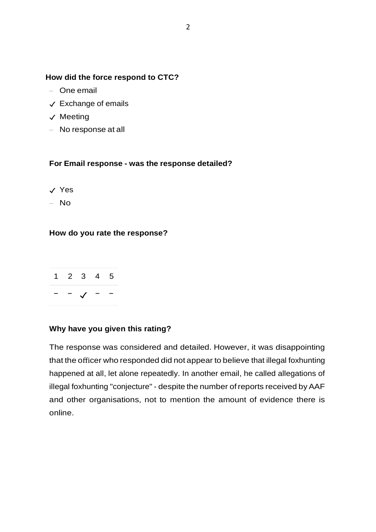## **How did the force respond to CTC?**

- One email
- ✓ Exchange of emails
- ✓ Meeting
- No response at all

## **For Email response - was the response detailed?**

- ✓ Yes
- No

## **How do you rate the response?**



## **Why have you given this rating?**

The response was considered and detailed. However, it was disappointing that the officer who responded did not appear to believe that illegal foxhunting happened at all, let alone repeatedly. In another email, he called allegations of illegal foxhunting "conjecture" - despite the number of reports received by AAF and other organisations, not to mention the amount of evidence there is online.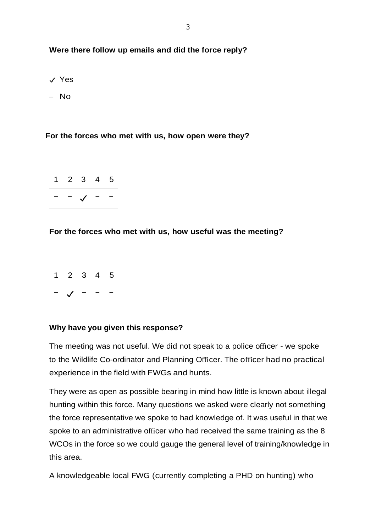## **Were there follow up emails and did the force reply?**

- ✓ Yes
- No

## **For the forces who met with us, how open were they?**



## **For the forces who met with us, how useful was the meeting?**



## **Why have you given this response?**

The meeting was not useful. We did not speak to a police officer - we spoke to the Wildlife Co-ordinator and Planning Officer. The officer had no practical experience in the field with FWGs and hunts.

They were as open as possible bearing in mind how little is known about illegal hunting within this force. Many questions we asked were clearly not something the force representative we spoke to had knowledge of. It was useful in that we spoke to an administrative officer who had received the same training as the 8 WCOs in the force so we could gauge the general level of training/knowledge in this area.

A knowledgeable local FWG (currently completing a PHD on hunting) who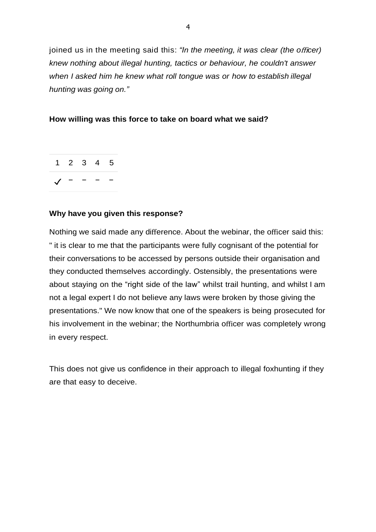joined us in the meeting said this: *"In the meeting, it was clear (the o*ffi*cer) knew nothing about illegal hunting, tactics or behaviour, he couldn't answer when I asked him he knew what roll tongue was or how to establish illegal hunting was going on."*

## **How willing was this force to take on board what we said?**



## **Why have you given this response?**

Nothing we said made any difference. About the webinar, the officer said this: " it is clear to me that the participants were fully cognisant of the potential for their conversations to be accessed by persons outside their organisation and they conducted themselves accordingly. Ostensibly, the presentations were about staying on the "right side of the law" whilst trail hunting, and whilst I am not a legal expert I do not believe any laws were broken by those giving the presentations." We now know that one of the speakers is being prosecuted for his involvement in the webinar; the Northumbria officer was completely wrong in every respect.

This does not give us confidence in their approach to illegal foxhunting if they are that easy to deceive.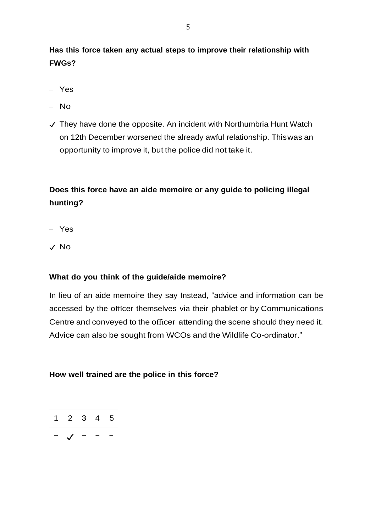**Has this force taken any actual steps to improve their relationship with FWGs?**

- Yes
- No
- ✓ They have done the opposite. An incident with Northumbria Hunt Watch on 12th December worsened the already awful relationship. Thiswas an opportunity to improve it, but the police did not take it.

## **Does this force have an aide memoire or any guide to policing illegal hunting?**

- Yes
- ✓ No

## **What do you think of the guide/aide memoire?**

In lieu of an aide memoire they say Instead, "advice and information can be accessed by the officer themselves via their phablet or by Communications Centre and conveyed to the officer attending the scene should they need it. Advice can also be sought from WCOs and the Wildlife Co-ordinator."

## **How well trained are the police in this force?**

$$
\begin{array}{c|cccc}\n1 & 2 & 3 & 4 & 5 \\
\hline\n-\sqrt{-} & - & -\n\end{array}
$$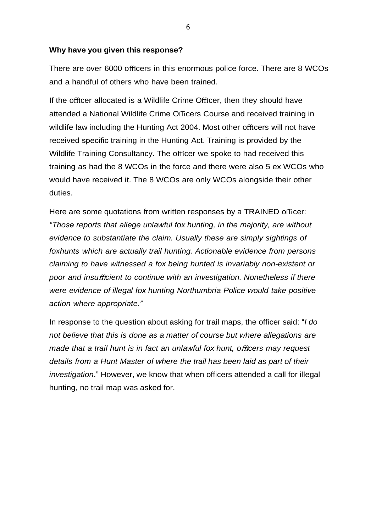#### **Why have you given this response?**

There are over 6000 officers in this enormous police force. There are 8 WCOs and a handful of others who have been trained.

If the officer allocated is a Wildlife Crime Officer, then they should have attended a National Wildlife Crime Officers Course and received training in wildlife law including the Hunting Act 2004. Most other officers will not have received specific training in the Hunting Act. Training is provided by the Wildlife Training Consultancy. The officer we spoke to had received this training as had the 8 WCOs in the force and there were also 5 ex WCOs who would have received it. The 8 WCOs are only WCOs alongside their other duties.

Here are some quotations from written responses by a TRAINED officer: *"Those reports that allege unlawful fox hunting, in the majority, are without evidence to substantiate the claim. Usually these are simply sightings of foxhunts which are actually trail hunting. Actionable evidence from persons claiming to have witnessed a fox being hunted is invariably non-existent or poor and insu*ffi*cient to continue with an investigation. Nonetheless if there were evidence of illegal fox hunting Northumbria Police would take positive action where appropriate."*

In response to the question about asking for trail maps, the officer said: "*I do not believe that this is done as a matter of course but where allegations are made that a trail hunt is in fact an unlawful fox hunt, o*ffi*cers may request details from a Hunt Master of where the trail has been laid as part of their investigation*." However, we know that when officers attended a call for illegal hunting, no trail map was asked for.

6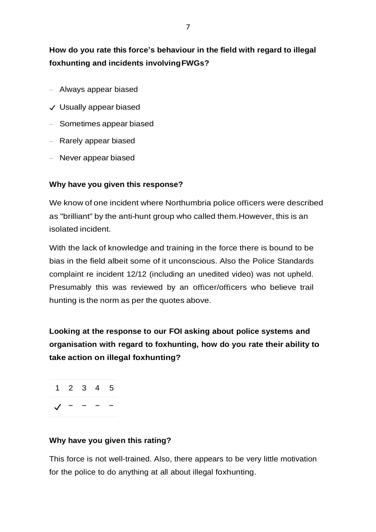## **How do you rate this force's behaviour in the field with regard to illegal foxhunting and incidents involvingFWGs?**

- Always appear biased
- ✓ Usually appear biased
- Sometimes appear biased
- Rarely appear biased
- Never appear biased

## **Why have you given this response?**

We know of one incident where Northumbria police officers were described as "brilliant" by the anti-hunt group who called them.However, this is an isolated incident.

With the lack of knowledge and training in the force there is bound to be bias in the field albeit some of it unconscious. Also the Police Standards complaint re incident 12/12 (including an unedited video) was not upheld. Presumably this was reviewed by an officer/officers who believe trail hunting is the norm as per the quotes above.

**Looking at the response to our FOI asking about police systems and organisation with regard to foxhunting, how do you rate their ability to take action on illegal foxhunting?**

1 2 3 4 5 ✓ − − − −

## **Why have you given this rating?**

This force is not well-trained. Also, there appears to be very little motivation for the police to do anything at all about illegal foxhunting.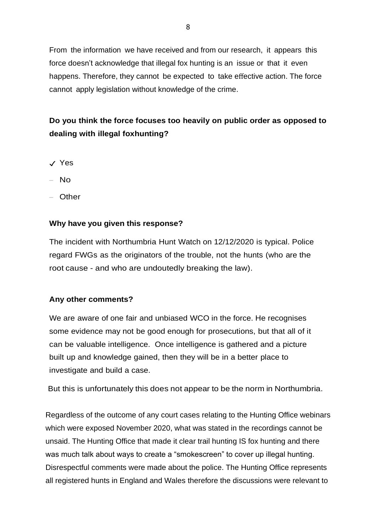From the information we have received and from our research, it appears this force doesn't acknowledge that illegal fox hunting is an issue or that it even happens. Therefore, they cannot be expected to take effective action. The force cannot apply legislation without knowledge of the crime.

## **Do you think the force focuses too heavily on public order as opposed to dealing with illegal foxhunting?**

- ✓ Yes
- No
- Other

## **Why have you given this response?**

The incident with Northumbria Hunt Watch on 12/12/2020 is typical. Police regard FWGs as the originators of the trouble, not the hunts (who are the root cause - and who are undoutedly breaking the law).

## **Any other comments?**

We are aware of one fair and unbiased WCO in the force. He recognises some evidence may not be good enough for prosecutions, but that all of it can be valuable intelligence. Once intelligence is gathered and a picture built up and knowledge gained, then they will be in a better place to investigate and build a case.

But this is unfortunately this does not appear to be the norm in Northumbria.

Regardless of the outcome of any court cases relating to the Hunting Office webinars which were exposed November 2020, what was stated in the recordings cannot be unsaid. The Hunting Office that made it clear trail hunting IS fox hunting and there was much talk about ways to create a "smokescreen" to cover up illegal hunting. Disrespectful comments were made about the police. The Hunting Office represents all registered hunts in England and Wales therefore the discussions were relevant to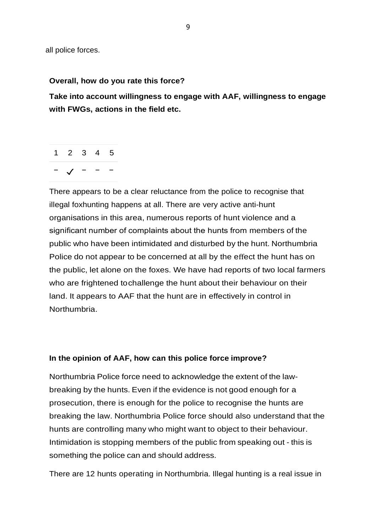all police forces.

## **Overall, how do you rate this force?**

**Take into account willingness to engage with AAF, willingness to engage with FWGs, actions in the field etc.**

1 2 3 4 5 − ✓ − − −

There appears to be a clear reluctance from the police to recognise that illegal foxhunting happens at all. There are very active anti-hunt organisations in this area, numerous reports of hunt violence and a significant number of complaints about the hunts from members of the public who have been intimidated and disturbed by the hunt. Northumbria Police do not appear to be concerned at all by the effect the hunt has on the public, let alone on the foxes. We have had reports of two local farmers who are frightened tochallenge the hunt about their behaviour on their land. It appears to AAF that the hunt are in effectively in control in Northumbria.

## **In the opinion of AAF, how can this police force improve?**

Northumbria Police force need to acknowledge the extent of the lawbreaking by the hunts. Even if the evidence is not good enough for a prosecution, there is enough for the police to recognise the hunts are breaking the law. Northumbria Police force should also understand that the hunts are controlling many who might want to object to their behaviour. Intimidation is stopping members of the public from speaking out - this is something the police can and should address.

There are 12 hunts operating in Northumbria. Illegal hunting is a real issue in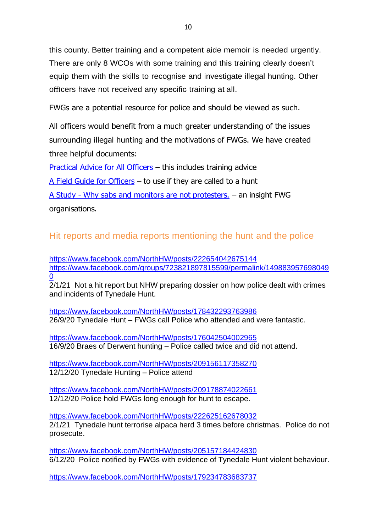this county. Better training and a competent aide memoir is needed urgently. There are only 8 WCOs with some training and this training clearly doesn't equip them with the skills to recognise and investigate illegal hunting. Other officers have not received any specific training at all.

FWGs are a potential resource for police and should be viewed as such.

All officers would benefit from a much greater understanding of the issues surrounding illegal hunting and the motivations of FWGs. We have created three helpful documents:

[Practical Advice for All Officers](https://www.actionagainstfoxhunting.org/wp-content/uploads/2021/11/B-1411-Practical-Advice-for-all-Police-Forces.pdf) – this includes training advice

[A Field Guide for Officers](https://www.actionagainstfoxhunting.org/wp-content/uploads/2021/11/A-1411-FIELD-GUIDE-ILLEGAL-FOXHUNTING.pdf) – to use if they are called to a hunt

A Study - [Why sabs and monitors are not protesters.](https://www.actionagainstfoxhunting.org/wp-content/uploads/2021/11/A-1411-Why-sabs-and-monitors-arent-protesters.pdf) – an insight FWG organisations.

## Hit reports and media reports mentioning the hunt and the police

<https://www.facebook.com/NorthHW/posts/222654042675144> [https://www.facebook.com/groups/723821897815599/permalink/149883957698049](https://www.facebook.com/groups/723821897815599/permalink/1498839576980490) [0](https://www.facebook.com/groups/723821897815599/permalink/1498839576980490)

2/1/21 Not a hit report but NHW preparing dossier on how police dealt with crimes and incidents of Tynedale Hunt.

<https://www.facebook.com/NorthHW/posts/178432293763986> 26/9/20 Tynedale Hunt – FWGs call Police who attended and were fantastic.

<https://www.facebook.com/NorthHW/posts/176042504002965> 16/9/20 Braes of Derwent hunting – Police called twice and did not attend.

<https://www.facebook.com/NorthHW/posts/209156117358270> 12/12/20 Tynedale Hunting – Police attend

<https://www.facebook.com/NorthHW/posts/209178874022661> 12/12/20 Police hold FWGs long enough for hunt to escape.

<https://www.facebook.com/NorthHW/posts/222625162678032> 2/1/21 Tynedale hunt terrorise alpaca herd 3 times before christmas. Police do not prosecute.

<https://www.facebook.com/NorthHW/posts/205157184424830> 6/12/20 Police notified by FWGs with evidence of Tynedale Hunt violent behaviour.

<https://www.facebook.com/NorthHW/posts/179234783683737>